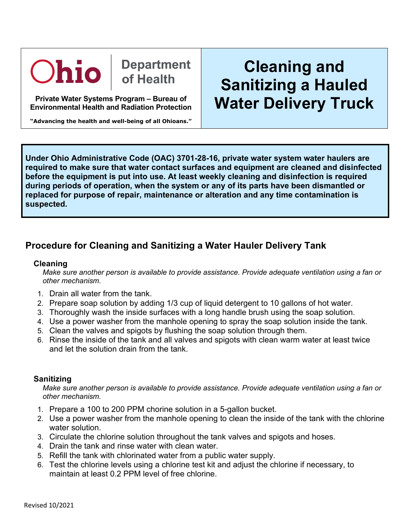

**Department** of Health

**Private Water Systems Program – Bureau of Environmental Health and Radiation Protection**

**"Advancing the health and well-being of all Ohioans."**

# **Cleaning and Sanitizing a Hauled Water Delivery Truck**

**Under Ohio Administrative Code (OAC) 3701-28-16, private water system water haulers are required to make sure that water contact surfaces and equipment are cleaned and disinfected before the equipment is put into use. At least weekly cleaning and disinfection is required during periods of operation, when the system or any of its parts have been dismantled or replaced for purpose of repair, maintenance or alteration and any time contamination is suspected.**

## **Procedure for Cleaning and Sanitizing a Water Hauler Delivery Tank**

#### **Cleaning**

*Make sure another person is available to provide assistance. Provide adequate ventilation using a fan or other mechanism.*

- 1. Drain all water from the tank.
- 2. Prepare soap solution by adding 1/3 cup of liquid detergent to 10 gallons of hot water.
- 3. Thoroughly wash the inside surfaces with a long handle brush using the soap solution.
- 4. Use a power washer from the manhole opening to spray the soap solution inside the tank.
- 5. Clean the valves and spigots by flushing the soap solution through them.
- 6. Rinse the inside of the tank and all valves and spigots with clean warm water at least twice and let the solution drain from the tank.

### **Sanitizing**

*Make sure another person is available to provide assistance. Provide adequate ventilation using a fan or other mechanism.*

- 1. Prepare a 100 to 200 PPM chorine solution in a 5-gallon bucket.
- 2. Use a power washer from the manhole opening to clean the inside of the tank with the chlorine water solution.
- 3. Circulate the chlorine solution throughout the tank valves and spigots and hoses.
- 4. Drain the tank and rinse water with clean water.
- 5. Refill the tank with chlorinated water from a public water supply.
- 6. Test the chlorine levels using a chlorine test kit and adjust the chlorine if necessary, to maintain at least 0.2 PPM level of free chlorine.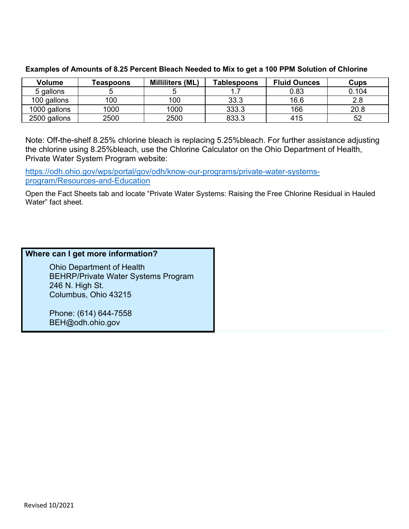| Volume       | <b>Feaspoons</b> | <b>Milliliters (ML)</b> | <b>Tablespoons</b> | <b>Fluid Ounces</b> | Cups  |
|--------------|------------------|-------------------------|--------------------|---------------------|-------|
| 5 gallons    |                  |                         |                    | 0.83                | 0.104 |
| 100 gallons  | 100              | 100                     | 33.3               | 16.6                | 2.8   |
| 1000 gallons | 1000             | 1000                    | 333.3              | 166                 | 20.8  |
| 2500 gallons | 2500             | 2500                    | 833.3              | 415                 | 52    |

#### **Examples of Amounts of 8.25 Percent Bleach Needed to Mix to get a 100 PPM Solution of Chlorine**

Note: Off-the-shelf 8.25% chlorine bleach is replacing 5.25%bleach. For further assistance adjusting the chlorine using 8.25%bleach, use the Chlorine Calculator on the Ohio Department of Health, Private Water System Program website:

[https://odh.ohio.gov/wps/portal/gov/odh/know-our-programs/private-water-systems](https://odh.ohio.gov/wps/portal/gov/odh/know-our-programs/private-water-systems-program/Resources-and-Education)[program/Resources-and-Education](https://odh.ohio.gov/wps/portal/gov/odh/know-our-programs/private-water-systems-program/Resources-and-Education)

Open the Fact Sheets tab and locate "Private Water Systems: Raising the Free Chlorine Residual in Hauled Water" fact sheet.

## **Where can I get more information?**

Ohio Department of Health BEHRP/Private Water Systems Program 246 N. High St. Columbus, Ohio 43215

Phone: (614) 644-7558 BEH@odh.ohio.gov